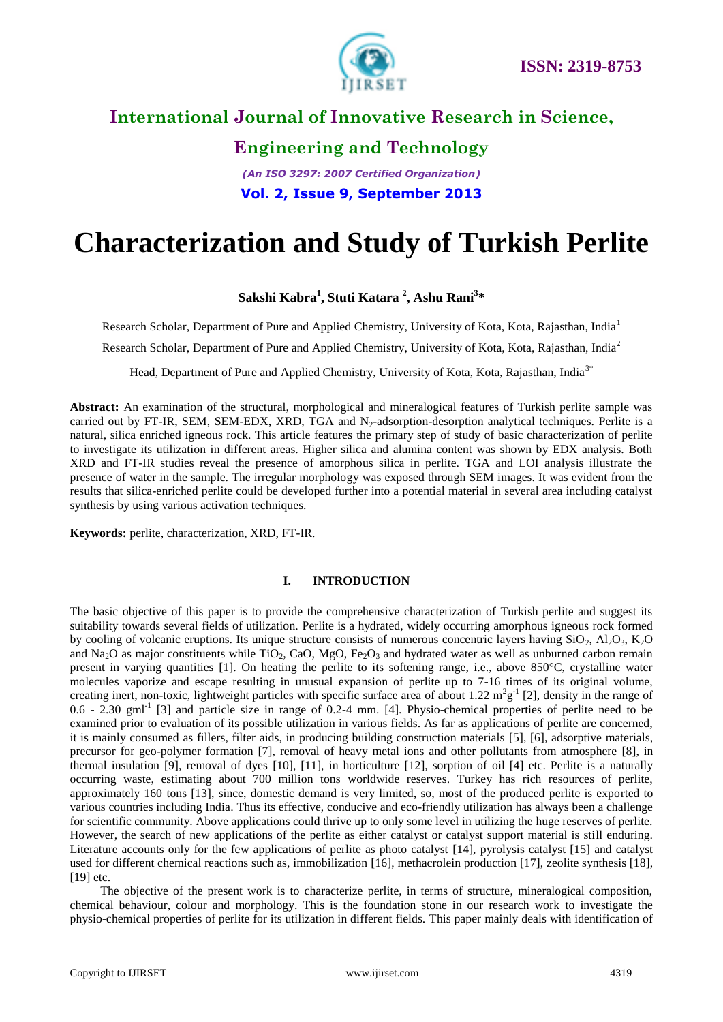

# **Engineering and Technology**

#### *(An ISO 3297: 2007 Certified Organization)* **Vol. 2, Issue 9, September 2013**

# **Characterization and Study of Turkish Perlite**

#### **Sakshi Kabra<sup>1</sup> , Stuti Katara <sup>2</sup> , Ashu Rani<sup>3</sup> \***

Research Scholar, Department of Pure and Applied Chemistry, University of Kota, Kota, Rajasthan, India<sup>1</sup>

Research Scholar, Department of Pure and Applied Chemistry, University of Kota, Kota, Rajasthan, India<sup>2</sup>

Head, Department of Pure and Applied Chemistry, University of Kota, Kota, Rajasthan, India<sup>3\*</sup>

**Abstract:** An examination of the structural, morphological and mineralogical features of Turkish perlite sample was carried out by FT-IR, SEM, SEM-EDX, XRD, TGA and N<sub>2</sub>-adsorption-desorption analytical techniques. Perlite is a natural, silica enriched igneous rock. This article features the primary step of study of basic characterization of perlite to investigate its utilization in different areas. Higher silica and alumina content was shown by EDX analysis. Both XRD and FT-IR studies reveal the presence of amorphous silica in perlite. TGA and LOI analysis illustrate the presence of water in the sample. The irregular morphology was exposed through SEM images. It was evident from the results that silica-enriched perlite could be developed further into a potential material in several area including catalyst synthesis by using various activation techniques.

**Keywords:** perlite, characterization, XRD, FT-IR.

#### **I. INTRODUCTION**

The basic objective of this paper is to provide the comprehensive characterization of Turkish perlite and suggest its suitability towards several fields of utilization. Perlite is a hydrated, widely occurring amorphous igneous rock formed by cooling of volcanic eruptions. Its unique structure consists of numerous concentric layers having  $SiO_2$ ,  $Al_2O_3$ ,  $K_2O$ and Na<sub>2</sub>O as major constituents while TiO<sub>2</sub>, CaO, MgO, Fe<sub>2</sub>O<sub>3</sub> and hydrated water as well as unburned carbon remain present in varying quantities [1]. On heating the perlite to its softening range, i.e., above 850°C, crystalline water molecules vaporize and escape resulting in unusual expansion of perlite up to 7-16 times of its original volume, creating inert, non-toxic, lightweight particles with specific surface area of about 1.22  $m^2g^{-1}$  [2], density in the range of  $0.6$  - 2.30 gml<sup>-1</sup> [3] and particle size in range of  $0.2$ -4 mm. [4]. Physio-chemical properties of perlite need to be examined prior to evaluation of its possible utilization in various fields. As far as applications of perlite are concerned, it is mainly consumed as fillers, filter aids, in producing building construction materials [5], [6], adsorptive materials, precursor for geo-polymer formation [7], removal of heavy metal ions and other pollutants from atmosphere [8], in thermal insulation [9], removal of dyes [10], [11], in horticulture [12], sorption of oil [4] etc. Perlite is a naturally occurring waste, estimating about 700 million tons worldwide reserves. Turkey has rich resources of perlite, approximately 160 tons [13], since, domestic demand is very limited, so, most of the produced perlite is exported to various countries including India. Thus its effective, conducive and eco-friendly utilization has always been a challenge for scientific community. Above applications could thrive up to only some level in utilizing the huge reserves of perlite. However, the search of new applications of the perlite as either catalyst or catalyst support material is still enduring. Literature accounts only for the few applications of perlite as photo catalyst [14], pyrolysis catalyst [15] and catalyst used for different chemical reactions such as, immobilization [16], methacrolein production [17], zeolite synthesis [18], [19] etc.

The objective of the present work is to characterize perlite, in terms of structure, mineralogical composition, chemical behaviour, colour and morphology. This is the foundation stone in our research work to investigate the physio-chemical properties of perlite for its utilization in different fields. This paper mainly deals with identification of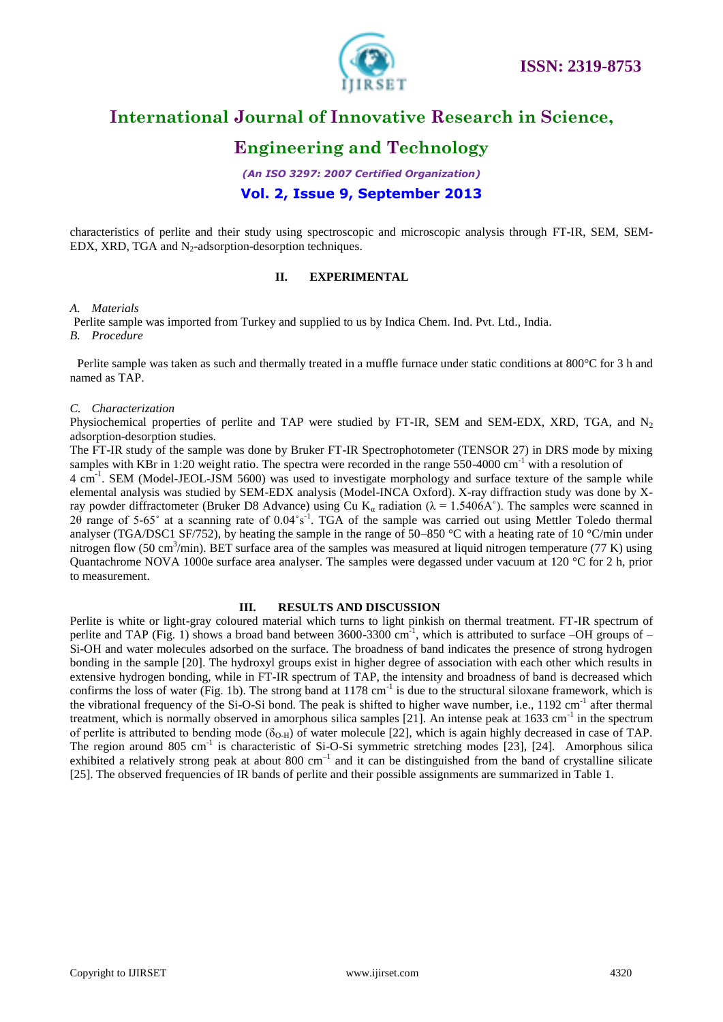

### **Engineering and Technology**

*(An ISO 3297: 2007 Certified Organization)* **Vol. 2, Issue 9, September 2013**

characteristics of perlite and their study using spectroscopic and microscopic analysis through FT-IR, SEM, SEM-EDX, XRD, TGA and  $N_2$ -adsorption-desorption techniques.

#### **II. EXPERIMENTAL**

#### *A. Materials*

Perlite sample was imported from Turkey and supplied to us by Indica Chem. Ind. Pvt. Ltd., India. *B. Procedure* 

 Perlite sample was taken as such and thermally treated in a muffle furnace under static conditions at 800°C for 3 h and named as TAP.

#### *C. Characterization*

Physiochemical properties of perlite and TAP were studied by FT-IR, SEM and SEM-EDX, XRD, TGA, and  $N_2$ adsorption-desorption studies.

The FT-IR study of the sample was done by Bruker FT-IR Spectrophotometer (TENSOR 27) in DRS mode by mixing samples with KBr in 1:20 weight ratio. The spectra were recorded in the range  $550-4000$  cm<sup>-1</sup> with a resolution of

4 cm<sup>-1</sup>. SEM (Model-JEOL-JSM 5600) was used to investigate morphology and surface texture of the sample while elemental analysis was studied by SEM-EDX analysis (Model-INCA Oxford). X-ray diffraction study was done by Xray powder diffractometer (Bruker D8 Advance) using Cu K<sub>a</sub> radiation ( $\lambda = 1.5406$ A°). The samples were scanned in 2θ range of 5-65˚ at a scanning rate of 0.04˚s-1 . TGA of the sample was carried out using Mettler Toledo thermal analyser (TGA/DSC1 SF/752), by heating the sample in the range of 50–850 °C with a heating rate of 10 °C/min under nitrogen flow (50 cm<sup>3</sup>/min). BET surface area of the samples was measured at liquid nitrogen temperature (77 K) using Quantachrome NOVA 1000e surface area analyser. The samples were degassed under vacuum at 120 °C for 2 h, prior to measurement.

#### **III. RESULTS AND DISCUSSION**

Perlite is white or light-gray coloured material which turns to light pinkish on thermal treatment. FT-IR spectrum of perlite and TAP (Fig. 1) shows a broad band between  $3600-3300$  cm<sup>-1</sup>, which is attributed to surface  $-OH$  groups of  $-$ Si-OH and water molecules adsorbed on the surface. The broadness of band indicates the presence of strong hydrogen bonding in the sample [20]. The hydroxyl groups exist in higher degree of association with each other which results in extensive hydrogen bonding, while in FT-IR spectrum of TAP, the intensity and broadness of band is decreased which confirms the loss of water (Fig. 1b). The strong band at  $1178 \text{ cm}^{-1}$  is due to the structural siloxane framework, which is the vibrational frequency of the Si-O-Si bond. The peak is shifted to higher wave number, i.e., 1192 cm<sup>-1</sup> after thermal treatment, which is normally observed in amorphous silica samples [21]. An intense peak at  $1633 \text{ cm}^{-1}$  in the spectrum of perlite is attributed to bending mode ( $\delta_{O-H}$ ) of water molecule [22], which is again highly decreased in case of TAP. The region around 805 cm<sup>-1</sup> is characteristic of Si-O-Si symmetric stretching modes [23], [24]. Amorphous silica exhibited a relatively strong peak at about 800  $cm^{-1}$  and it can be distinguished from the band of crystalline silicate [25]. The observed frequencies of IR bands of perlite and their possible assignments are summarized in Table 1.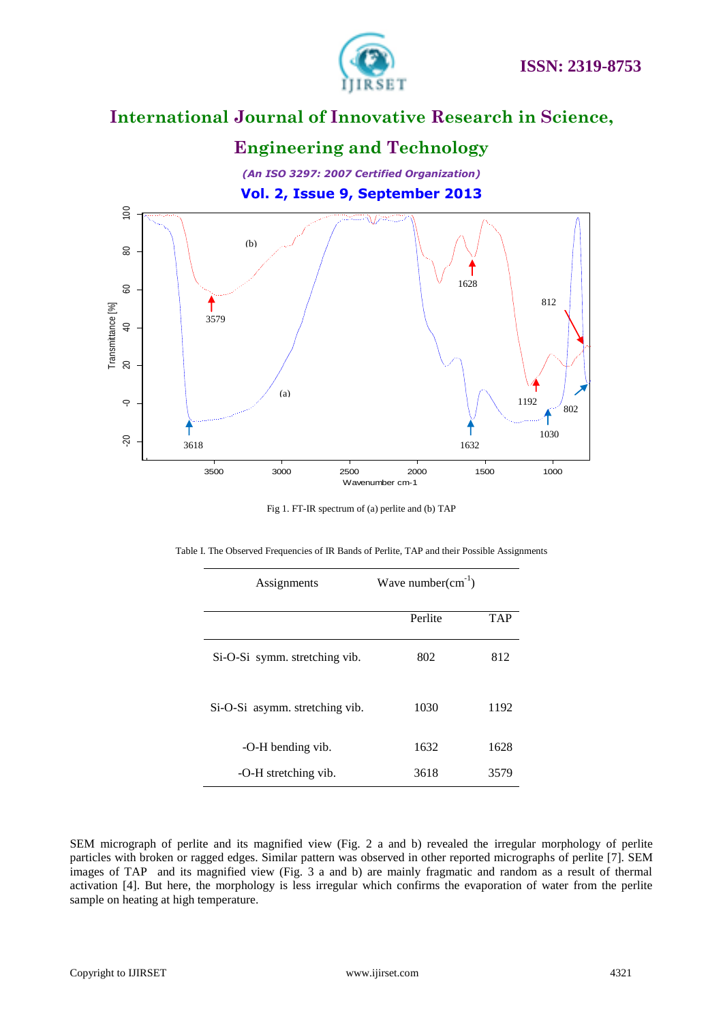



|  |  |  |  |  | Table I. The Observed Frequencies of IR Bands of Perlite, TAP and their Possible Assignments |
|--|--|--|--|--|----------------------------------------------------------------------------------------------|
|  |  |  |  |  |                                                                                              |
|  |  |  |  |  |                                                                                              |

| Assignments                    | Wave number $(cm^{-1})$ |            |
|--------------------------------|-------------------------|------------|
|                                | Perlite                 | <b>TAP</b> |
| Si-O-Si symm. stretching vib.  | 802                     | 812        |
| Si-O-Si asymm. stretching vib. | 1030                    | 1192       |
| -O-H bending vib.              | 1632                    | 1628       |
| -O-H stretching vib.           | 3618                    | 3579       |

SEM micrograph of perlite and its magnified view (Fig. 2 a and b) revealed the irregular morphology of perlite particles with broken or ragged edges. Similar pattern was observed in other reported micrographs of perlite [7]. SEM images of TAP and its magnified view (Fig. 3 a and b) are mainly fragmatic and random as a result of thermal activation [4]. But here, the morphology is less irregular which confirms the evaporation of water from the perlite sample on heating at high temperature.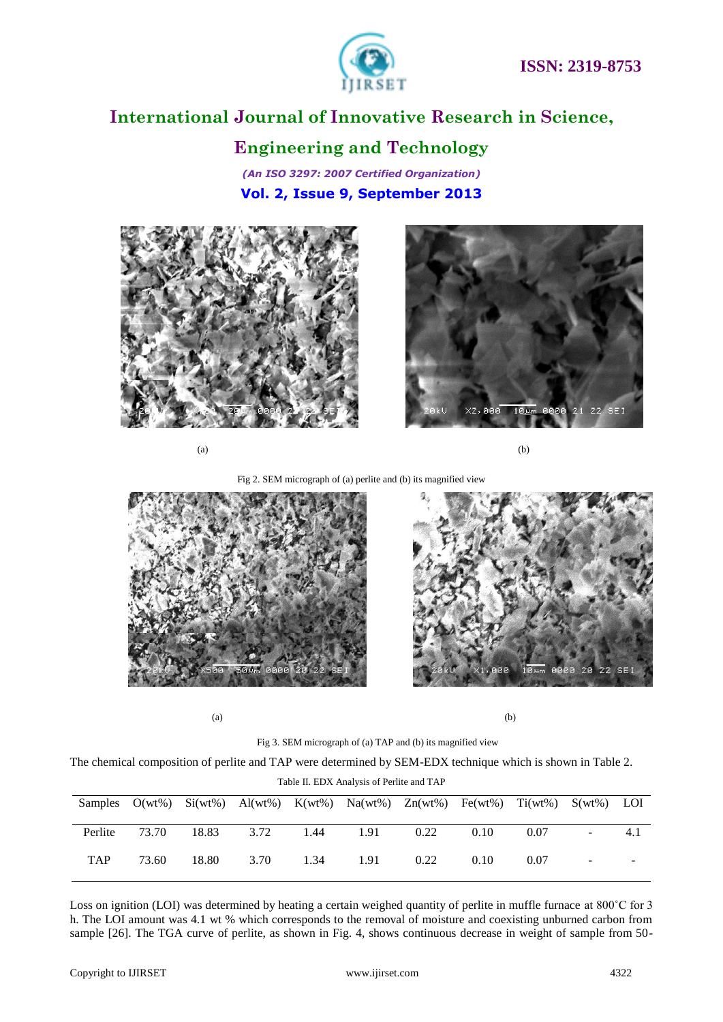

### **Engineering and Technology**

*(An ISO 3297: 2007 Certified Organization)* **Vol. 2, Issue 9, September 2013**





 $(a)$  (b)

Fig 2. SEM micrograph of (a) perlite and (b) its magnified view



 $(a)$  (b)

øя

0000 20 22 SEI

Fig 3. SEM micrograph of (a) TAP and (b) its magnified view

The chemical composition of perlite and TAP were determined by SEM-EDX technique which is shown in Table 2.

Table II. EDX Analysis of Perlite and TAP

|            |       |       |      |      | Samples $O(wt\%)$ Si(wt%) Al(wt%) K(wt%) Na(wt%) Zn(wt%) Fe(wt%) Ti(wt%) S(wt%) LOI |      |      |      |                          |     |
|------------|-------|-------|------|------|-------------------------------------------------------------------------------------|------|------|------|--------------------------|-----|
| Perlite    | 73.70 | 18.83 | 3.72 | 1.44 | 1.91                                                                                | 0.22 | 0.10 | 0.07 | $\overline{\phantom{a}}$ | 4.1 |
| <b>TAP</b> | 73.60 | 18.80 | 3.70 | 1.34 | 1.91                                                                                | 0.22 | 0.10 | 0.07 | $\overline{\phantom{a}}$ | -   |
|            |       |       |      |      |                                                                                     |      |      |      |                          |     |

Loss on ignition (LOI) was determined by heating a certain weighed quantity of perlite in muffle furnace at 800°C for 3 h. The LOI amount was 4.1 wt % which corresponds to the removal of moisture and coexisting unburned carbon from sample [26]. The TGA curve of perlite, as shown in Fig. 4, shows continuous decrease in weight of sample from 50-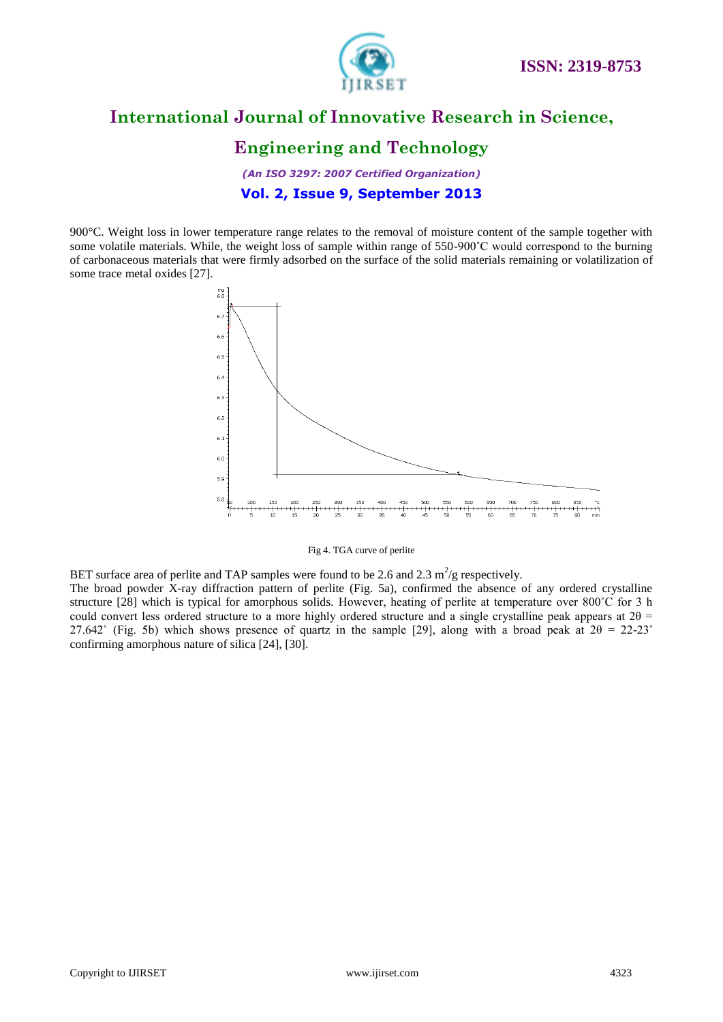

### **Engineering and Technology**

*(An ISO 3297: 2007 Certified Organization)* **Vol. 2, Issue 9, September 2013**

900°C. Weight loss in lower temperature range relates to the removal of moisture content of the sample together with some volatile materials. While, the weight loss of sample within range of 550-900°C would correspond to the burning of carbonaceous materials that were firmly adsorbed on the surface of the solid materials remaining or volatilization of some trace metal oxides [27].





BET surface area of perlite and TAP samples were found to be 2.6 and 2.3  $m^2/g$  respectively.

The broad powder X-ray diffraction pattern of perlite (Fig. 5a), confirmed the absence of any ordered crystalline structure [28] which is typical for amorphous solids. However, heating of perlite at temperature over 800°C for 3 h could convert less ordered structure to a more highly ordered structure and a single crystalline peak appears at  $2\theta$  = 27.642° (Fig. 5b) which shows presence of quartz in the sample [29], along with a broad peak at  $2\theta = 22-23$ ° confirming amorphous nature of silica [24], [30].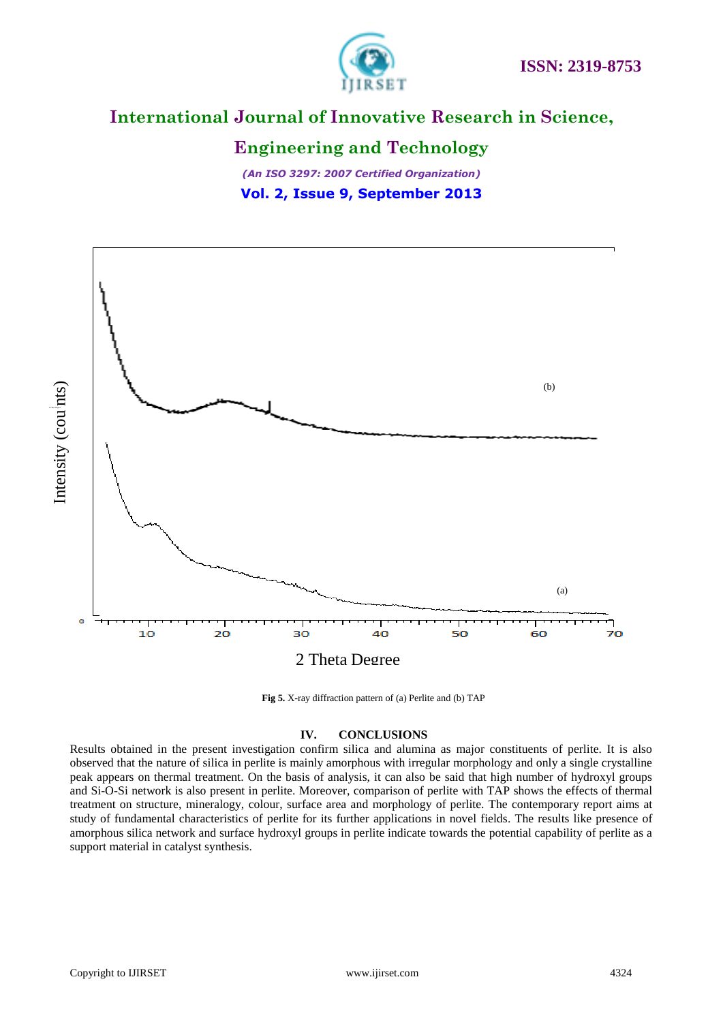



#### **Engineering and Technology**

*(An ISO 3297: 2007 Certified Organization)* **Vol. 2, Issue 9, September 2013**





#### **IV. CONCLUSIONS**

Results obtained in the present investigation confirm silica and alumina as major constituents of perlite. It is also observed that the nature of silica in perlite is mainly amorphous with irregular morphology and only a single crystalline peak appears on thermal treatment. On the basis of analysis, it can also be said that high number of hydroxyl groups and Si-O-Si network is also present in perlite. Moreover, comparison of perlite with TAP shows the effects of thermal treatment on structure, mineralogy, colour, surface area and morphology of perlite. The contemporary report aims at study of fundamental characteristics of perlite for its further applications in novel fields. The results like presence of amorphous silica network and surface hydroxyl groups in perlite indicate towards the potential capability of perlite as a support material in catalyst synthesis.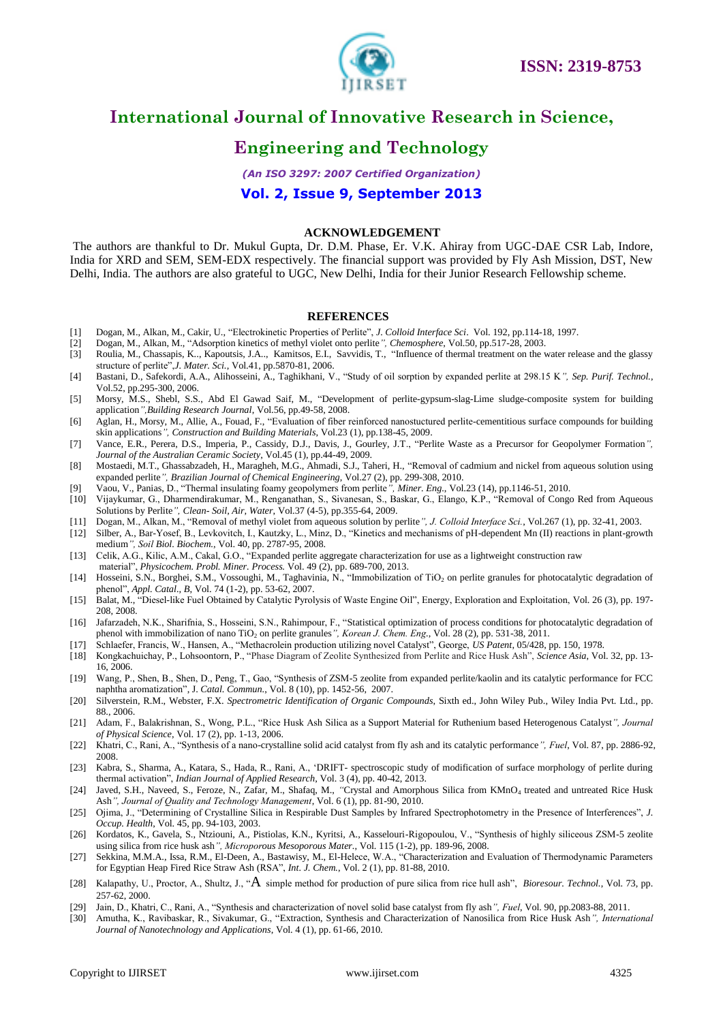

### **Engineering and Technology**

*(An ISO 3297: 2007 Certified Organization)*

**Vol. 2, Issue 9, September 2013**

#### **ACKNOWLEDGEMENT**

The authors are thankful to Dr. Mukul Gupta, Dr. D.M. Phase, Er. V.K. Ahiray from UGC-DAE CSR Lab, Indore, India for XRD and SEM, SEM-EDX respectively. The financial support was provided by Fly Ash Mission, DST, New Delhi, India. The authors are also grateful to UGC, New Delhi, India for their Junior Research Fellowship scheme.

#### **REFERENCES**

- [1] Dogan, M., Alkan, M., Cakir, U., "Electrokinetic Properties of Perlite", *J. Colloid Interface Sci*. Vol. 192, pp.114-18, 1997.
- [2] Dogan, M., Alkan, M., "Adsorption kinetics of methyl violet onto perlite*", Chemosphere*, Vol.50, pp.517-28, 2003.
- [3] Roulia, M., Chassapis, K.., Kapoutsis, J.A.., Kamitsos, E.I., Savvidis, T., "Influence of thermal treatment on the water release and the glassy structure of perlite",*J. Mater. Sci.*, Vol.41, pp.5870-81, 2006.
- [4] Bastani, D., Safekordi, A.A., Alihosseini, A., Taghikhani, V., "Study of oil sorption by expanded perlite at 298.15 K*", Sep. Purif. Technol.*, Vol.52, pp.295-300, 2006.
- [5] Morsy, M.S., Shebl, S.S., Abd El Gawad Saif, M., "Development of perlite-gypsum-slag-Lime sludge-composite system for building application*",Building Research Journal*, Vol.56, pp.49-58, 2008.
- [6] Aglan, H., Morsy, M., Allie, A., Fouad, F., "Evaluation of fiber reinforced nanostuctured perlite-cementitious surface compounds for building skin applications*", Construction and Building Materials*, Vol.23 (1), pp.138-45, 2009.
- [7] Vance, E.R., Perera, D.S., Imperia, P., Cassidy, D.J., Davis, J., Gourley, J.T., "Perlite Waste as a Precursor for Geopolymer Formation*", Journal of the Australian Ceramic Society*, Vol.45 (1), pp.44-49, 2009.
- [8] Mostaedi, M.T., Ghassabzadeh, H., Maragheh, M.G., Ahmadi, S.J., Taheri, H., "Removal of cadmium and nickel from aqueous solution using expanded perlite*", Brazilian Journal of Chemical Engineering*, Vol.27 (2), pp. 299-308, 2010.
- [9] Vaou, V., Panias, D., "Thermal insulating foamy geopolymers from perlite*", Miner. Eng.*, Vol.23 (14), pp.1146-51, 2010.
- [10] Vijaykumar, G., Dharmendirakumar, M., Renganathan, S., Sivanesan, S., Baskar, G., Elango, K.P., "Removal of Congo Red from Aqueous Solutions by Perlite*", Clean- Soil, Air, Water*, Vol.37 (4-5), pp.355-64, 2009.
- [11] Dogan, M., Alkan, M., "Removal of methyl violet from aqueous solution by perlite*", J. Colloid Interface Sci.*, Vol.267 (1), pp. 32-41, 2003.
- [12] Silber, A., Bar-Yosef, B., Levkovitch, I., Kautzky, L., Minz, D., "Kinetics and mechanisms of pH-dependent Mn (II) reactions in plant-growth medium*", Soil Biol. Biochem.*, Vol. 40, pp. 2787-95, 2008.
- [13] Celik, A.G., Kilic, A.M., Cakal, G.O., "Expanded perlite aggregate characterization for use as a lightweight construction raw

material", *Physicochem. Probl. Miner. Process.* Vol. 49 (2), pp. 689-700, 2013.

- [14] Hosseini, S.N., Borghei, S.M., Vossoughi, M., Taghavinia, N., "Immobilization of TiO<sub>2</sub> on perlite granules for photocatalytic degradation of phenol", *Appl. Catal., B*, Vol. 74 (1-2), pp. 53-62, 2007.
- [15] Balat, M., "Diesel-like Fuel Obtained by Catalytic Pyrolysis of Waste Engine Oil", Energy, Exploration and Exploitation, Vol. 26 (3), pp. 197- 208, 2008.
- [16] Jafarzadeh, N.K., Sharifnia, S., Hosseini, S.N., Rahimpour, F., "Statistical optimization of process conditions for photocatalytic degradation of phenol with immobilization of nano TiO<sub>2</sub> on perlite granules", Korean J. Chem. Eng., Vol. 28 (2), pp. 531-38, 2011.
- [17] Schlaefer, Francis, W., Hansen, A., "Methacrolein production utilizing novel Catalyst", George, *US Patent*, 05/428, pp. 150, 1978.
- [18] Kongkachuichay, P., Lohsoontorn, P., "Phase Diagram of Zeolite Synthesized from Perlite and Rice Husk Ash", *Science Asia*, Vol. 32, pp. 13- 16, 2006.
- [19] Wang, P., Shen, B., Shen, D., Peng, T., Gao, "Synthesis of ZSM-5 zeolite from expanded perlite/kaolin and its catalytic performance for FCC naphtha aromatization", J. *Catal. Commun.*, Vol. 8 (10), pp. 1452-56, 2007.
- [20] Silverstein, R.M., Webster, F.X. *Spectrometric Identification of Organic Compounds*, Sixth ed., John Wiley Pub., Wiley India Pvt. Ltd., pp. 88., 2006.
- [21] Adam, F., Balakrishnan, S., Wong, P.L., "Rice Husk Ash Silica as a Support Material for Ruthenium based Heterogenous Catalyst*", Journal of Physical Science*, Vol. 17 (2), pp. 1-13, 2006.
- [22] Khatri, C., Rani, A., "Synthesis of a nano-crystalline solid acid catalyst from fly ash and its catalytic performance*", Fuel*, Vol. 87, pp. 2886-92, 2008.
- [23] Kabra, S., Sharma, A., Katara, S., Hada, R., Rani, A., "DRIFT- spectroscopic study of modification of surface morphology of perlite during thermal activation", *Indian Journal of Applied Research*, Vol. 3 (4), pp. 40-42, 2013.
- [24] Javed, S.H., Naveed, S., Feroze, N., Zafar, M., Shafaq, M., *"Crystal and Amorphous Silica from KMnO<sub>4</sub> treated and untreated Rice Husk* Ash*", Journal of Quality and Technology Management*, Vol. 6 (1), pp. 81-90, 2010.
- [25] Ojima, J., "Determining of Crystalline Silica in Respirable Dust Samples by Infrared Spectrophotometry in the Presence of Interferences", *J. Occup. Health*, Vol. 45, pp. 94-103, 2003.
- [26] Kordatos, K., Gavela, S., Ntziouni, A., Pistiolas, K.N., Kyritsi, A., Kasselouri-Rigopoulou, V., "Synthesis of highly siliceous ZSM-5 zeolite using silica from rice husk ash*", Microporous Mesoporous Mater.*, Vol. 115 (1-2), pp. 189-96, 2008.
- [27] Sekkina, M.M.A., Issa, R.M., El-Deen, A., Bastawisy, M., El-Helece, W.A., "Characterization and Evaluation of Thermodynamic Parameters for Egyptian Heap Fired Rice Straw Ash (RSA", *Int. J. Chem.*, Vol. 2 (1), pp. 81-88, 2010.
- [28] Kalapathy, U., Proctor, A., Shultz, J., "A simple method for production of pure silica from rice hull ash", *Bioresour. Technol.*, Vol. 73, pp. 257-62, 2000.
- [29] Jain, D., Khatri, C., Rani, A., "Synthesis and characterization of novel solid base catalyst from fly ash*", Fuel*, Vol. 90, pp.2083-88, 2011.
- [30] Amutha, K., Ravibaskar, R., Sivakumar, G., "Extraction, Synthesis and Characterization of Nanosilica from Rice Husk Ash*", International Journal of Nanotechnology and Applications*, Vol. 4 (1), pp. 61-66, 2010.